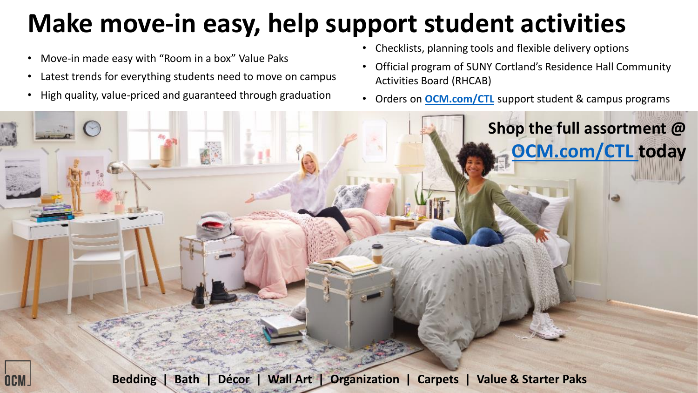## **Make move-in easy, help support student activities**

- Move-in made easy with "Room in a box" Value Paks
- Latest trends for everything students need to move on campus
- High quality, value-priced and guaranteed through graduation
- Checklists, planning tools and flexible delivery options
- Official program of SUNY Cortland's Residence Hall Community Activities Board (RHCAB)
- Orders on **[OCM.com/CTL](https://www.ocm.com/ctl)** support student & campus programs

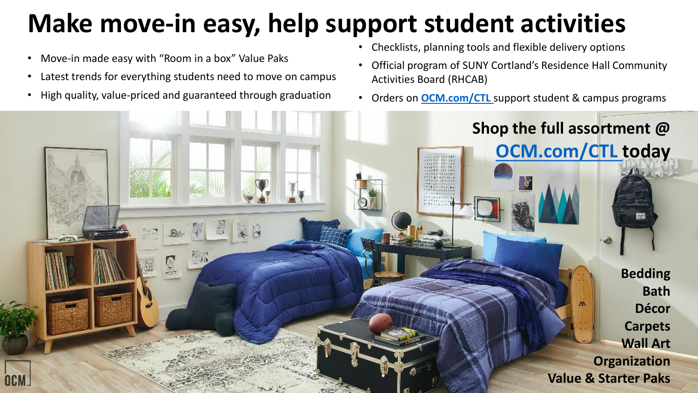## **Make move-in easy, help support student activities**

• Move-in made easy with "Room in a box" Value Paks

OGM

- Latest trends for everything students need to move on campus
- High quality, value-priced and guaranteed through graduation
- Checklists, planning tools and flexible delivery options
- Official program of SUNY Cortland's Residence Hall Community Activities Board (RHCAB)
- Orders on **[OCM.com/CTL](https://www.ocm.com/ctl)** support student & campus programs

**Shop the full assortment @** 

**[OCM.com/CTL](https://www.ocm.com/ctl) today**